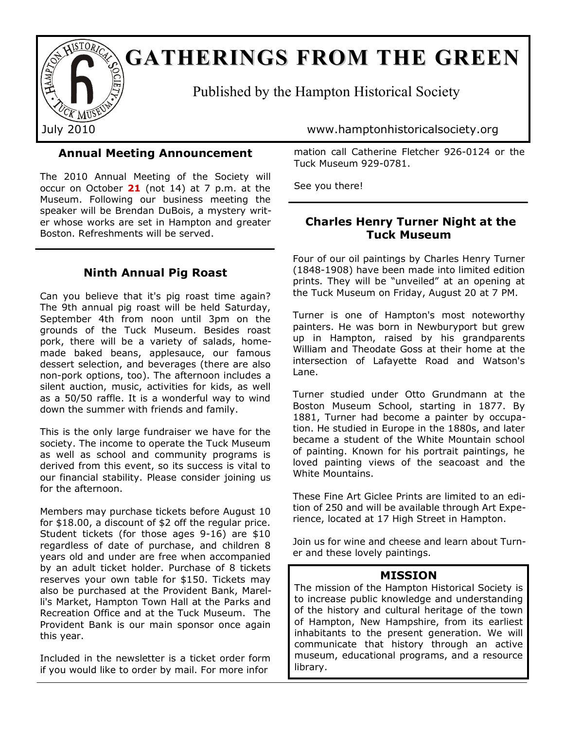

# **GATHERINGS FROM THE GREEN**

Published by the Hampton Historical Society

**Annual Meeting Announcement**

The 2010 Annual Meeting of the Society will occur on October **21** (not 14) at 7 p.m. at the Museum. Following our business meeting the speaker will be Brendan DuBois, a mystery writer whose works are set in Hampton and greater Boston. Refreshments will be served.

# **Ninth Annual Pig Roast**

Can you believe that it's pig roast time again? The 9th annual pig roast will be held Saturday, September 4th from noon until 3pm on the grounds of the Tuck Museum. Besides roast pork, there will be a variety of salads, homemade baked beans, applesauce, our famous dessert selection, and beverages (there are also non-pork options, too). The afternoon includes a silent auction, music, activities for kids, as well as a 50/50 raffle. It is a wonderful way to wind down the summer with friends and family.

This is the only large fundraiser we have for the society. The income to operate the Tuck Museum as well as school and community programs is derived from this event, so its success is vital to our financial stability. Please consider joining us for the afternoon.

Members may purchase tickets before August 10 for \$18.00, a discount of \$2 off the regular price. Student tickets (for those ages 9-16) are \$10 regardless of date of purchase, and children 8 years old and under are free when accompanied by an adult ticket holder. Purchase of 8 tickets reserves your own table for \$150. Tickets may also be purchased at the Provident Bank, Marelli's Market, Hampton Town Hall at the Parks and Recreation Office and at the Tuck Museum. The Provident Bank is our main sponsor once again this year.

Included in the newsletter is a ticket order form if you would like to order by mail. For more infor

July 2010 www.hamptonhistoricalsociety.org

mation call Catherine Fletcher 926-0124 or the Tuck Museum 929-0781.

See you there!

# **Charles Henry Turner Night at the Tuck Museum**

Four of our oil paintings by Charles Henry Turner (1848-1908) have been made into limited edition prints. They will be "unveiled" at an opening at the Tuck Museum on Friday, August 20 at 7 PM.

Turner is one of Hampton's most noteworthy painters. He was born in Newburyport but grew up in Hampton, raised by his grandparents William and Theodate Goss at their home at the intersection of Lafayette Road and Watson's Lane.

Turner studied under Otto Grundmann at the Boston Museum School, starting in 1877. By 1881, Turner had become a painter by occupation. He studied in Europe in the 1880s, and later became a student of the White Mountain school of painting. Known for his portrait paintings, he loved painting views of the seacoast and the White Mountains.

These Fine Art Giclee Prints are limited to an edition of 250 and will be available through Art Experience, located at 17 High Street in Hampton.

Join us for wine and cheese and learn about Turner and these lovely paintings.

## **MISSION**

The mission of the Hampton Historical Society is to increase public knowledge and understanding of the history and cultural heritage of the town of Hampton, New Hampshire, from its earliest inhabitants to the present generation. We will communicate that history through an active museum, educational programs, and a resource library.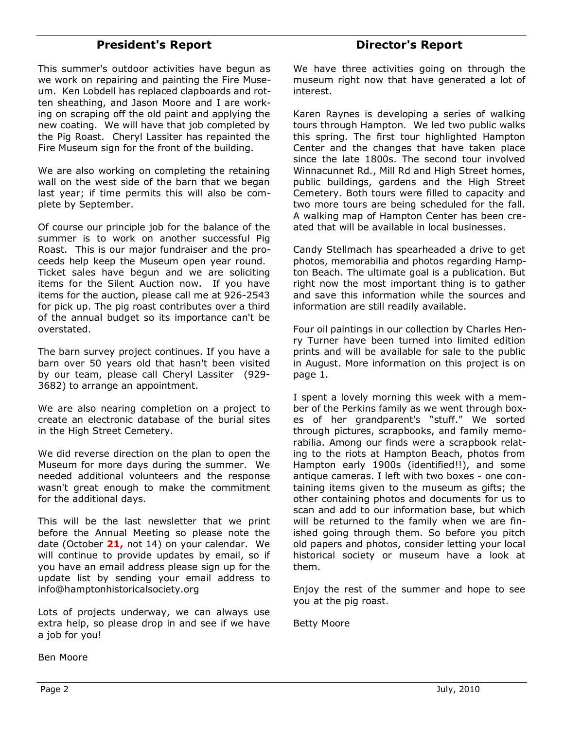# **President's Report**

This summer's outdoor activities have begun as we work on repairing and painting the Fire Museum. Ken Lobdell has replaced clapboards and rotten sheathing, and Jason Moore and I are working on scraping off the old paint and applying the new coating. We will have that job completed by the Pig Roast. Cheryl Lassiter has repainted the Fire Museum sign for the front of the building.

We are also working on completing the retaining wall on the west side of the barn that we began last year; if time permits this will also be complete by September.

Of course our principle job for the balance of the summer is to work on another successful Pig Roast. This is our major fundraiser and the proceeds help keep the Museum open year round. Ticket sales have begun and we are soliciting items for the Silent Auction now. If you have items for the auction, please call me at 926-2543 for pick up. The pig roast contributes over a third of the annual budget so its importance can't be overstated.

The barn survey project continues. If you have a barn over 50 years old that hasn't been visited by our team, please call Cheryl Lassiter (929- 3682) to arrange an appointment.

We are also nearing completion on a project to create an electronic database of the burial sites in the High Street Cemetery.

We did reverse direction on the plan to open the Museum for more days during the summer. We needed additional volunteers and the response wasn't great enough to make the commitment for the additional days.

This will be the last newsletter that we print before the Annual Meeting so please note the date (October **21,** not 14) on your calendar. We will continue to provide updates by email, so if you have an email address please sign up for the update list by sending your email address to info@hamptonhistoricalsociety.org

Lots of projects underway, we can always use extra help, so please drop in and see if we have a job for you!

Ben Moore

# **Director's Report**

We have three activities going on through the museum right now that have generated a lot of interest.

Karen Raynes is developing a series of walking tours through Hampton. We led two public walks this spring. The first tour highlighted Hampton Center and the changes that have taken place since the late 1800s. The second tour involved Winnacunnet Rd., Mill Rd and High Street homes, public buildings, gardens and the High Street Cemetery. Both tours were filled to capacity and two more tours are being scheduled for the fall. A walking map of Hampton Center has been created that will be available in local businesses.

Candy Stellmach has spearheaded a drive to get photos, memorabilia and photos regarding Hampton Beach. The ultimate goal is a publication. But right now the most important thing is to gather and save this information while the sources and information are still readily available.

Four oil paintings in our collection by Charles Henry Turner have been turned into limited edition prints and will be available for sale to the public in August. More information on this project is on page 1.

I spent a lovely morning this week with a member of the Perkins family as we went through boxes of her grandparent's "stuff." We sorted through pictures, scrapbooks, and family memorabilia. Among our finds were a scrapbook relating to the riots at Hampton Beach, photos from Hampton early 1900s (identified!!), and some antique cameras. I left with two boxes - one containing items given to the museum as gifts; the other containing photos and documents for us to scan and add to our information base, but which will be returned to the family when we are finished going through them. So before you pitch old papers and photos, consider letting your local historical society or museum have a look at them.

Enjoy the rest of the summer and hope to see you at the pig roast.

Betty Moore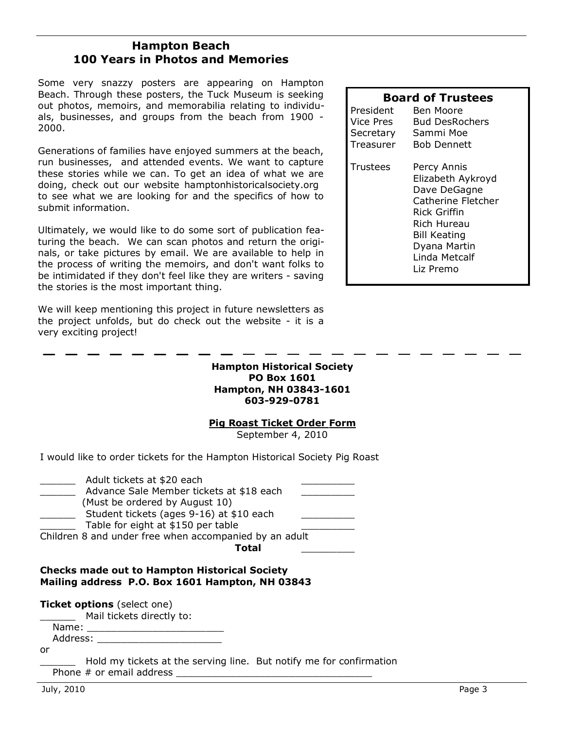# **Hampton Beach 100 Years in Photos and Memories**

Some very snazzy posters are appearing on Hampton Beach. Through these posters, the Tuck Museum is seeking out photos, memoirs, and memorabilia relating to individuals, businesses, and groups from the beach from 1900 - 2000.

Generations of families have enjoyed summers at the beach, run businesses, and attended events. We want to capture these stories while we can. To get an idea of what we are doing, check out our website hamptonhistoricalsociety.org to see what we are looking for and the specifics of how to submit information.

Ultimately, we would like to do some sort of publication featuring the beach. We can scan photos and return the originals, or take pictures by email. We are available to help in the process of writing the memoirs, and don't want folks to be intimidated if they don't feel like they are writers - saving the stories is the most important thing.

We will keep mentioning this project in future newsletters as the project unfolds, but do check out the website - it is a very exciting project!

#### **Hampton Historical Society PO Box 1601 Hampton, NH 03843-1601 603-929-0781**

### **Pig Roast Ticket Order Form**

September 4, 2010

I would like to order tickets for the Hampton Historical Society Pig Roast

| Adult tickets at \$20 each                             |  |
|--------------------------------------------------------|--|
| Advance Sale Member tickets at \$18 each               |  |
| (Must be ordered by August 10)                         |  |
| Student tickets (ages 9-16) at \$10 each               |  |
| Table for eight at \$150 per table                     |  |
| Children 8 and under free when accompanied by an adult |  |
| Total                                                  |  |

#### **Checks made out to Hampton Historical Society Mailing address P.O. Box 1601 Hampton, NH 03843**

**Ticket options** (select one)

\_\_\_\_\_\_ Mail tickets directly to:

Name:

Address: \_\_\_\_\_\_\_\_\_\_\_\_\_\_\_\_\_\_\_\_\_ or

\_\_\_\_\_\_ Hold my tickets at the serving line. But notify me for confirmation Phone # or email address

#### July, 2010 Page 3

|  | <b>Board of Trustees</b> |
|--|--------------------------|
|--|--------------------------|

| President | Ben Moore                                                                                                                                                                  |
|-----------|----------------------------------------------------------------------------------------------------------------------------------------------------------------------------|
| Vice Pres | <b>Bud DesRochers</b>                                                                                                                                                      |
| Secretary | Sammi Moe                                                                                                                                                                  |
| Treasurer | <b>Bob Dennett</b>                                                                                                                                                         |
| Trustees  | Percy Annis<br>Elizabeth Aykroyd<br>Dave DeGagne<br>Catherine Fletcher<br>Rick Griffin<br>Rich Hureau<br><b>Bill Keating</b><br>Dyana Martin<br>Linda Metcalf<br>Liz Premo |